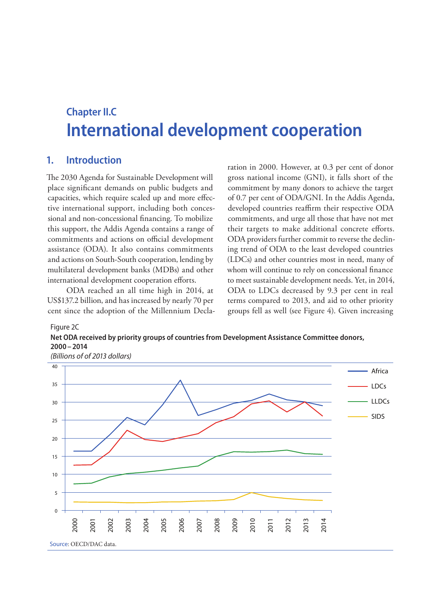# **Chapter II.C International development cooperation**

### **1. Introduction**

Figure 2C

The 2030 Agenda for Sustainable Development will place significant demands on public budgets and capacities, which require scaled up and more effective international support, including both concessional and non-concessional financing. To mobilize this support, the Addis Agenda contains a range of commitments and actions on official development assistance (ODA). It also contains commitments and actions on South-South cooperation, lending by multilateral development banks (MDBs) and other international development cooperation efforts.

ODA reached an all time high in 2014, at US\$137.2 billion, and has increased by nearly 70 per cent since the adoption of the Millennium Declaration in 2000. However, at 0.3 per cent of donor gross national income (GNI), it falls short of the commitment by many donors to achieve the target of 0.7 per cent of ODA/GNI. In the Addis Agenda, developed countries reaffirm their respective ODA commitments, and urge all those that have not met their targets to make additional concrete efforts. ODA providers further commit to reverse the declining trend of ODA to the least developed countries (LDCs) and other countries most in need, many of whom will continue to rely on concessional finance to meet sustainable development needs. Yet, in 2014, ODA to LDCs decreased by 9.3 per cent in real terms compared to 2013, and aid to other priority groups fell as well (see Figure 4). Given increasing



**Net ODA received by priority groups of countries from Development Assistance Committee donors,**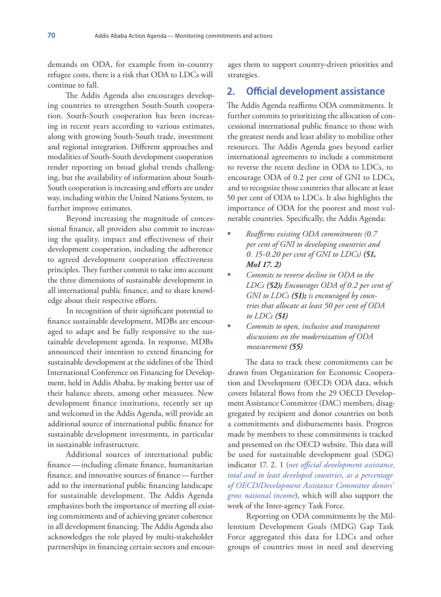demands on ODA, for example from in-country refugee costs, there is a risk that ODA to LDCs will continue to fall.

The Addis Agenda also encourages developing countries to strengthen South-South cooperation. South-South cooperation has been increasing in recent years according to various estimates, along with growing South-South trade, investment and regional integration. Different approaches and modalities of South-South development cooperation render reporting on broad global trends challenging, but the availability of information about South-South cooperation is increasing and efforts are under way, including within the United Nations System, to further improve estimates.

Beyond increasing the magnitude of concessional finance, all providers also commit to increasing the quality, impact and effectiveness of their development cooperation, including the adherence to agreed development cooperation effectiveness principles. They further commit to take into account the three dimensions of sustainable development in all international public finance, and to share knowledge about their respective efforts.

In recognition of their significant potential to finance sustainable development, MDBs are encouraged to adapt and be fully responsive to the sustainable development agenda. In response, MDBs announced their intention to extend financing for sustainable development at the sidelines of the Third International Conference on Financing for Development, held in Addis Ababa, by making better use of their balance sheets, among other measures. New development finance institutions, recently set up and welcomed in the Addis Agenda, will provide an additional source of international public finance for sustainable development investments, in particular in sustainable infrastructure.

Additional sources of international public finance—including climate finance, humanitarian finance, and innovative sources of finance—further add to the international public financing landscape for sustainable development. The Addis Agenda emphasizes both the importance of meeting all existing commitments and of achieving greater coherence in all development financing. The Addis Agenda also acknowledges the role played by multi-stakeholder partnerships in financing certain sectors and encourages them to support country-driven priorities and strategies.

### **2. Official development assistance**

The Addis Agenda reaffirms ODA commitments. It further commits to prioritizing the allocation of concessional international public finance to those with the greatest needs and least ability to mobilize other resources. The Addis Agenda goes beyond earlier international agreements to include a commitment to reverse the recent decline in ODA to LDCs, to encourage ODA of 0.2 per cent of GNI to LDCs, and to recognize those countries that allocate at least 50 per cent of ODA to LDCs. It also highlights the importance of ODA for the poorest and most vulnerable countries. Specifically, the Addis Agenda:

- *Reaffirms existing ODA commitments (0.7 per cent of GNI to developing countries and 0. 15-0.20 per cent of GNI to LDCs) (51, MoI 17. 2)*
- *Commits to reverse decline in ODA to the LDCs (52); Encourages ODA of 0.2 per cent of GNI to LDCs (51); is encouraged by countries that allocate at least 50 per cent of ODA to LDCs (51)*
- *Commits to open, inclusive and transparent discussions on the modernization of ODA measurement (55)*

The data to track these commitments can be drawn from Organization for Economic Cooperation and Development (OECD) ODA data, which covers bilateral flows from the 29 OECD Development Assistance Committee (DAC) members, disaggregated by recipient and donor countries on both a commitments and disbursements basis. Progress made by members to these commitments is tracked and presented on the OECD website. This data will be used for sustainable development goal (SDG) indicator 17. 2. 1 (*net official development assistance, total and to least developed countries, as a percentage of OECD/Development Assistance Committee donors' gross national income*), which will also support the work of the Inter-agency Task Force.

Reporting on ODA commitments by the Millennium Development Goals (MDG) Gap Task Force aggregated this data for LDCs and other groups of countries most in need and deserving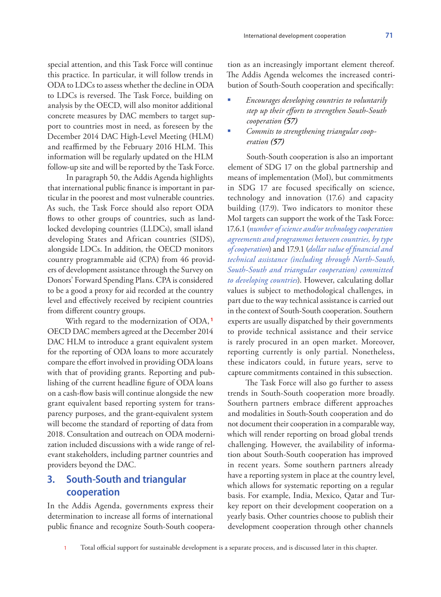special attention, and this Task Force will continue this practice. In particular, it will follow trends in ODA to LDCs to assess whether the decline in ODA to LDCs is reversed. The Task Force, building on analysis by the OECD, will also monitor additional concrete measures by DAC members to target support to countries most in need, as foreseen by the December 2014 DAC High-Level Meeting (HLM) and reaffirmed by the February 2016 HLM. This information will be regularly updated on the HLM follow-up site and will be reported by the Task Force.

In paragraph 50, the Addis Agenda highlights that international public finance is important in particular in the poorest and most vulnerable countries. As such, the Task Force should also report ODA flows to other groups of countries, such as landlocked developing countries (LLDCs), small island developing States and African countries (SIDS), alongside LDCs. In addition, the OECD monitors country programmable aid (CPA) from 46 providers of development assistance through the Survey on Donors' Forward Spending Plans. CPA is considered to be a good a proxy for aid recorded at the country level and effectively received by recipient countries from different country groups.

With regard to the modernization of ODA, **<sup>1</sup>** OECD DAC members agreed at the December 2014 DAC HLM to introduce a grant equivalent system for the reporting of ODA loans to more accurately compare the effort involved in providing ODA loans with that of providing grants. Reporting and publishing of the current headline figure of ODA loans on a cash-flow basis will continue alongside the new grant equivalent based reporting system for transparency purposes, and the grant-equivalent system will become the standard of reporting of data from 2018. Consultation and outreach on ODA modernization included discussions with a wide range of relevant stakeholders, including partner countries and providers beyond the DAC.

# **3. South-South and triangular cooperation**

In the Addis Agenda, governments express their determination to increase all forms of international public finance and recognize South-South coopera-

tion as an increasingly important element thereof. The Addis Agenda welcomes the increased contribution of South-South cooperation and specifically:

- *Encourages developing countries to voluntarily step up their efforts to strengthen South-South cooperation (57)*
- *Commits to strengthening triangular cooperation (57)*

South-South cooperation is also an important element of SDG 17 on the global partnership and means of implementation (MoI), but commitments in SDG 17 are focused specifically on science, technology and innovation (17.6) and capacity building (17.9). Two indicators to monitor these MoI targets can support the work of the Task Force: 17.6.1 (*number of science and/or technology cooperation agreements and programmes between countries, by type of cooperation*) and 17.9.1 (*dollar value of financial and technical assistance (including through North-South, South-South and triangular cooperation) committed to developing countries*). However, calculating dollar values is subject to methodological challenges, in part due to the way technical assistance is carried out in the context of South-South cooperation. Southern experts are usually dispatched by their governments to provide technical assistance and their service is rarely procured in an open market. Moreover, reporting currently is only partial. Nonetheless, these indicators could, in future years, serve to capture commitments contained in this subsection.

The Task Force will also go further to assess trends in South-South cooperation more broadly. Southern partners embrace different approaches and modalities in South-South cooperation and do not document their cooperation in a comparable way, which will render reporting on broad global trends challenging. However, the availability of information about South-South cooperation has improved in recent years. Some southern partners already have a reporting system in place at the country level, which allows for systematic reporting on a regular basis. For example, India, Mexico, Qatar and Turkey report on their development cooperation on a yearly basis. Other countries choose to publish their development cooperation through other channels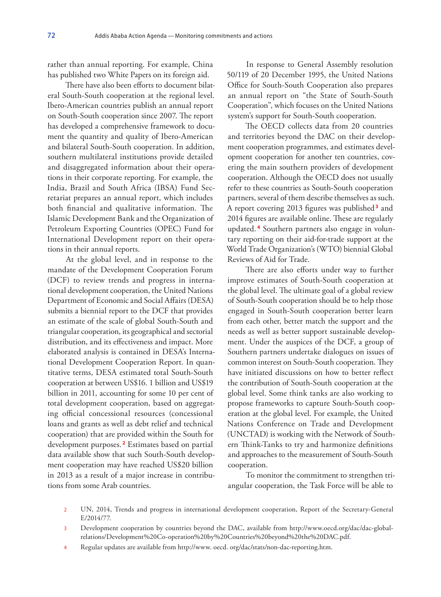rather than annual reporting. For example, China has published two White Papers on its foreign aid.

There have also been efforts to document bilateral South-South cooperation at the regional level. Ibero-American countries publish an annual report on South-South cooperation since 2007. The report has developed a comprehensive framework to document the quantity and quality of Ibero-American and bilateral South-South cooperation. In addition, southern multilateral institutions provide detailed and disaggregated information about their operations in their corporate reporting. For example, the India, Brazil and South Africa (IBSA) Fund Secretariat prepares an annual report, which includes both financial and qualitative information. The Islamic Development Bank and the Organization of Petroleum Exporting Countries (OPEC) Fund for International Development report on their operations in their annual reports.

At the global level, and in response to the mandate of the Development Cooperation Forum (DCF) to review trends and progress in international development cooperation, the United Nations Department of Economic and Social Affairs (DESA) submits a biennial report to the DCF that provides an estimate of the scale of global South-South and triangular cooperation, its geographical and sectorial distribution, and its effectiveness and impact. More elaborated analysis is contained in DESA's International Development Cooperation Report. In quantitative terms, DESA estimated total South-South cooperation at between US\$16. 1 billion and US\$19 billion in 2011, accounting for some 10 per cent of total development cooperation, based on aggregating official concessional resources (concessional loans and grants as well as debt relief and technical cooperation) that are provided within the South for development purposes. **<sup>2</sup>** Estimates based on partial data available show that such South-South development cooperation may have reached US\$20 billion in 2013 as a result of a major increase in contributions from some Arab countries.

In response to General Assembly resolution 50/119 of 20 December 1995, the United Nations Office for South-South Cooperation also prepares an annual report on "the State of South-South Cooperation", which focuses on the United Nations system's support for South-South cooperation.

The OECD collects data from 20 countries and territories beyond the DAC on their development cooperation programmes, and estimates development cooperation for another ten countries, covering the main southern providers of development cooperation. Although the OECD does not usually refer to these countries as South-South cooperation partners, several of them describe themselves as such. A report covering 2013 figures was published **<sup>3</sup>** and 2014 figures are available online. These are regularly updated. **<sup>4</sup>** Southern partners also engage in voluntary reporting on their aid-for-trade support at the World Trade Organization's (WTO) biennial Global Reviews of Aid for Trade.

There are also efforts under way to further improve estimates of South-South cooperation at the global level. The ultimate goal of a global review of South-South cooperation should be to help those engaged in South-South cooperation better learn from each other, better match the support and the needs as well as better support sustainable development. Under the auspices of the DCF, a group of Southern partners undertake dialogues on issues of common interest on South-South cooperation. They have initiated discussions on how to better reflect the contribution of South-South cooperation at the global level. Some think tanks are also working to propose frameworks to capture South-South cooperation at the global level. For example, the United Nations Conference on Trade and Development (UNCTAD) is working with the Network of Southern Think-Tanks to try and harmonize definitions and approaches to the measurement of South-South cooperation.

To monitor the commitment to strengthen triangular cooperation, the Task Force will be able to

- 2 UN, 2014, Trends and progress in international development cooperation, Report of the Secretary-General E/2014/77.
- 3 Development cooperation by countries beyond the DAC, available from http://www.oecd.org/dac/dac-globalrelations/Development%20Co-operation%20by%20Countries%20beyond%20the%20DAC.pdf.
- 4 Regular updates are available from http://www. oecd. org/dac/stats/non-dac-reporting.htm.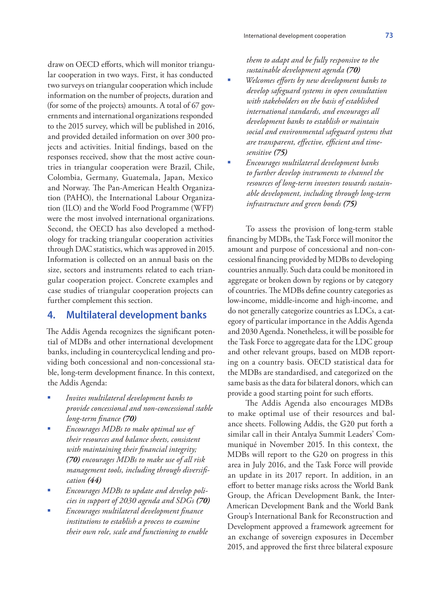draw on OECD efforts, which will monitor triangular cooperation in two ways. First, it has conducted two surveys on triangular cooperation which include information on the number of projects, duration and (for some of the projects) amounts. A total of 67 governments and international organizations responded to the 2015 survey, which will be published in 2016, and provided detailed information on over 300 projects and activities. Initial findings, based on the responses received, show that the most active countries in triangular cooperation were Brazil, Chile, Colombia, Germany, Guatemala, Japan, Mexico and Norway. The Pan-American Health Organization (PAHO), the International Labour Organization (ILO) and the World Food Programme (WFP) were the most involved international organizations. Second, the OECD has also developed a methodology for tracking triangular cooperation activities through DAC statistics, which was approved in 2015. Information is collected on an annual basis on the size, sectors and instruments related to each triangular cooperation project. Concrete examples and case studies of triangular cooperation projects can further complement this section.

### **4. Multilateral development banks**

The Addis Agenda recognizes the significant potential of MDBs and other international development banks, including in countercyclical lending and providing both concessional and non-concessional stable, long-term development finance. In this context, the Addis Agenda:

- *Invites multilateral development banks to provide concessional and non-concessional stable long-term finance (70)*
- *Encourages MDBs to make optimal use of their resources and balance sheets, consistent with maintaining their financial integrity; (70) encourages MDBs to make use of all risk management tools, including through diversification (44)*
- *Encourages MDBs to update and develop policies in support of 2030 agenda and SDGs (70)*
- *Encourages multilateral development finance institutions to establish a process to examine their own role, scale and functioning to enable*

*them to adapt and be fully responsive to the sustainable development agenda (70)*

- *Welcomes efforts by new development banks to develop safeguard systems in open consultation with stakeholders on the basis of established international standards, and encourages all development banks to establish or maintain social and environmental safeguard systems that are transparent, effective, efficient and timesensitive (75)*
- *Encourages multilateral development banks to further develop instruments to channel the resources of long-term investors towards sustainable development, including through long-term infrastructure and green bonds (75)*

To assess the provision of long-term stable financing by MDBs, the Task Force will monitor the amount and purpose of concessional and non-concessional financing provided by MDBs to developing countries annually. Such data could be monitored in aggregate or broken down by regions or by category of countries. The MDBs define country categories as low-income, middle-income and high-income, and do not generally categorize countries as LDCs, a category of particular importance in the Addis Agenda and 2030 Agenda. Nonetheless, it will be possible for the Task Force to aggregate data for the LDC group and other relevant groups, based on MDB reporting on a country basis. OECD statistical data for the MDBs are standardised, and categorized on the same basis as the data for bilateral donors, which can provide a good starting point for such efforts.

The Addis Agenda also encourages MDBs to make optimal use of their resources and balance sheets. Following Addis, the G20 put forth a similar call in their Antalya Summit Leaders' Communiqué in November 2015. In this context, the MDBs will report to the G20 on progress in this area in July 2016, and the Task Force will provide an update in its 2017 report. In addition, in an effort to better manage risks across the World Bank Group, the African Development Bank, the Inter-American Development Bank and the World Bank Group's International Bank for Reconstruction and Development approved a framework agreement for an exchange of sovereign exposures in December 2015, and approved the first three bilateral exposure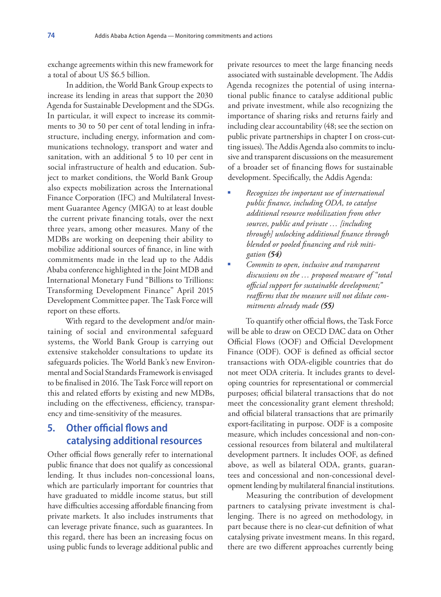exchange agreements within this new framework for a total of about US \$6.5 billion.

In addition, the World Bank Group expects to increase its lending in areas that support the 2030 Agenda for Sustainable Development and the SDGs. In particular, it will expect to increase its commitments to 30 to 50 per cent of total lending in infrastructure, including energy, information and communications technology, transport and water and sanitation, with an additional 5 to 10 per cent in social infrastructure of health and education. Subject to market conditions, the World Bank Group also expects mobilization across the International Finance Corporation (IFC) and Multilateral Investment Guarantee Agency (MIGA) to at least double the current private financing totals, over the next three years, among other measures. Many of the MDBs are working on deepening their ability to mobilize additional sources of finance, in line with commitments made in the lead up to the Addis Ababa conference highlighted in the Joint MDB and International Monetary Fund "Billions to Trillions: Transforming Development Finance" April 2015 Development Committee paper. The Task Force will report on these efforts.

With regard to the development and/or maintaining of social and environmental safeguard systems, the World Bank Group is carrying out extensive stakeholder consultations to update its safeguards policies. The World Bank's new Environmental and Social Standards Framework is envisaged to be finalised in 2016. The Task Force will report on this and related efforts by existing and new MDBs, including on the effectiveness, efficiency, transparency and time-sensitivity of the measures.

# **5. Other official flows and catalysing additional resources**

Other official flows generally refer to international public finance that does not qualify as concessional lending. It thus includes non-concessional loans, which are particularly important for countries that have graduated to middle income status, but still have difficulties accessing affordable financing from private markets. It also includes instruments that can leverage private finance, such as guarantees. In this regard, there has been an increasing focus on using public funds to leverage additional public and

private resources to meet the large financing needs associated with sustainable development. The Addis Agenda recognizes the potential of using international public finance to catalyse additional public and private investment, while also recognizing the importance of sharing risks and returns fairly and including clear accountability (48; see the section on public private partnerships in chapter I on cross-cutting issues). The Addis Agenda also commits to inclusive and transparent discussions on the measurement of a broader set of financing flows for sustainable development. Specifically, the Addis Agenda:

- *Recognizes the important use of international public finance, including ODA, to catalyse additional resource mobilization from other sources, public and private … [including through] unlocking additional finance through blended or pooled financing and risk mitigation (54)*
- *Commits to open, inclusive and transparent discussions on the … proposed measure of "total official support for sustainable development;" reaffirms that the measure will not dilute commitments already made (55)*

To quantify other official flows, the Task Force will be able to draw on OECD DAC data on Other Official Flows (OOF) and Official Development Finance (ODF). OOF is defined as official sector transactions with ODA-eligible countries that do not meet ODA criteria. It includes grants to developing countries for representational or commercial purposes; official bilateral transactions that do not meet the concessionality grant element threshold; and official bilateral transactions that are primarily export-facilitating in purpose. ODF is a composite measure, which includes concessional and non-concessional resources from bilateral and multilateral development partners. It includes OOF, as defined above, as well as bilateral ODA, grants, guarantees and concessional and non-concessional development lending by multilateral financial institutions.

Measuring the contribution of development partners to catalysing private investment is challenging. There is no agreed on methodology, in part because there is no clear-cut definition of what catalysing private investment means. In this regard, there are two different approaches currently being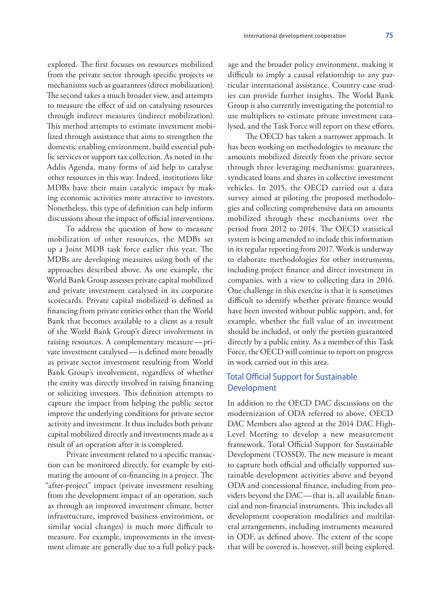explored. The first focuses on resources mobilized from the private sector through specific projects or mechanisms such as guarantees (direct mobilization). The second takes a much broader view, and attempts to measure the effect of aid on catalysing resources through indirect measures (indirect mobilization). This method attempts to estimate investment mobilized through assistance that aims to strengthen the domestic enabling environment, build essential public services or support tax collection. As noted in the Addis Agenda, many forms of aid help to catalyse other resources in this way. Indeed, institutions like MDBs have their main catalytic impact by making economic activities more attractive to investors. Nonetheless, this type of definition can help inform discussions about the impact of official interventions.

To address the question of how to measure mobilization of other resources, the MDBs set up a Joint MDB task force earlier this year. The MDBs are developing measures using both of the approaches described above. As one example, the World Bank Group assesses private capital mobilized and private investment catalysed in its corporate scorecards. Private capital mobilized is defined as financing from private entities other than the World Bank that becomes available to a client as a result of the World Bank Group's direct involvement in raising resources. A complementary measure—private investment catalysed—is defined more broadly as private sector investment resulting from World Bank Group's involvement, regardless of whether the entity was directly involved in raising financing or soliciting investors. This definition attempts to capture the impact from helping the public sector improve the underlying conditions for private sector activity and investment. It thus includes both private capital mobilized directly and investments made as a result of an operation after it is completed.

Private investment related to a specific transaction can be monitored directly, for example by estimating the amount of co-financing in a project. The "after-project" impact (private investment resulting from the development impact of an operation, such as through an improved investment climate, better infrastructure, improved business environment, or similar social changes) is much more difficult to measure. For example, improvements in the investment climate are generally due to a full policy package and the broader policy environment, making it difficult to imply a causal relationship to any particular international assistance. Country case studies can provide further insights. The World Bank Group is also currently investigating the potential to use multipliers to estimate private investment catalysed, and the Task Force will report on these efforts.

The OECD has taken a narrower approach. It has been working on methodologies to measure the amounts mobilized directly from the private sector through three leveraging mechanisms: guarantees, syndicated loans and shares in collective investment vehicles. In 2015, the OECD carried out a data survey aimed at piloting the proposed methodologies and collecting comprehensive data on amounts mobilized through these mechanisms over the period from 2012 to 2014. The OECD statistical system is being amended to include this information in its regular reporting from 2017. Work is underway to elaborate methodologies for other instruments, including project finance and direct investment in companies, with a view to collecting data in 2016. One challenge in this exercise is that it is sometimes difficult to identify whether private finance would have been invested without public support, and, for example, whether the full value of an investment should be included, or only the portion guaranteed directly by a public entity. As a member of this Task Force, the OECD will continue to report on progress in work carried out in this area.

### Total Official Support for Sustainable Development

In addition to the OECD DAC discussions on the modernization of ODA referred to above, OECD DAC Members also agreed at the 2014 DAC High-Level Meeting to develop a new measurement framework, Total Official Support for Sustainable Development (TOSSD). The new measure is meant to capture both official and officially supported sustainable development activities above and beyond ODA and concessional finance, including from providers beyond the DAC—that is, all available financial and non-financial instruments. This includes all development cooperation modalities and multilateral arrangements, including instruments measured in ODF, as defined above. The extent of the scope that will be covered is, however, still being explored.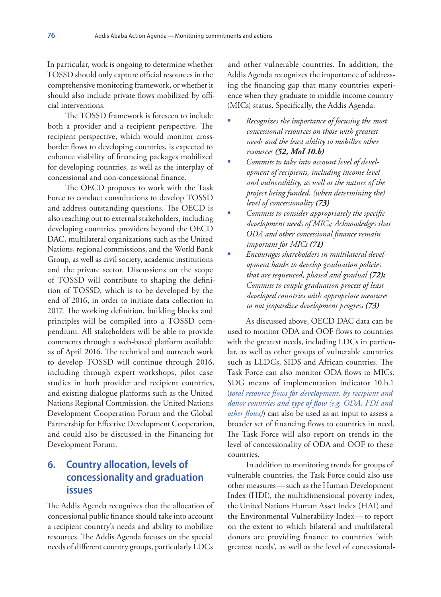In particular, work is ongoing to determine whether TOSSD should only capture official resources in the comprehensive monitoring framework, or whether it should also include private flows mobilized by official interventions.

The TOSSD framework is foreseen to include both a provider and a recipient perspective. The recipient perspective, which would monitor crossborder flows to developing countries, is expected to enhance visibility of financing packages mobilized for developing countries, as well as the interplay of concessional and non-concessional finance.

The OECD proposes to work with the Task Force to conduct consultations to develop TOSSD and address outstanding questions. The OECD is also reaching out to external stakeholders, including developing countries, providers beyond the OECD DAC, multilateral organizations such as the United Nations, regional commissions, and the World Bank Group, as well as civil society, academic institutions and the private sector. Discussions on the scope of TOSSD will contribute to shaping the definition of TOSSD, which is to be developed by the end of 2016, in order to initiate data collection in 2017. The working definition, building blocks and principles will be compiled into a TOSSD compendium. All stakeholders will be able to provide comments through a web-based platform available as of April 2016. The technical and outreach work to develop TOSSD will continue through 2016, including through expert workshops, pilot case studies in both provider and recipient countries, and existing dialogue platforms such as the United Nations Regional Commission, the United Nations Development Cooperation Forum and the Global Partnership for Effective Development Cooperation, and could also be discussed in the Financing for Development Forum.

# **6. Country allocation, levels of concessionality and graduation issues**

The Addis Agenda recognizes that the allocation of concessional public finance should take into account a recipient country's needs and ability to mobilize resources. The Addis Agenda focuses on the special needs of different country groups, particularly LDCs

and other vulnerable countries. In addition, the Addis Agenda recognizes the importance of addressing the financing gap that many countries experience when they graduate to middle income country (MICs) status. Specifically, the Addis Agenda:

- *Recognizes the importance of focusing the most concessional resources on those with greatest needs and the least ability to mobilize other resources (52, MoI 10.b)*
- *Commits to take into account level of development of recipients, including income level and vulnerability, as well as the nature of the project being funded, (when determining the) level of concessionality (73)*
- *Commits to consider appropriately the specific development needs of MICs; Acknowledges that ODA and other concessional finance remain important for MICs (71)*
- *Encourages shareholders in multilateral development banks to develop graduation policies that are sequenced, phased and gradual (72); Commits to couple graduation process of least developed countries with appropriate measures to not jeopardize development progress (73)*

As discussed above, OECD DAC data can be used to monitor ODA and OOF flows to countries with the greatest needs, including LDCs in particular, as well as other groups of vulnerable countries such as LLDCs, SIDS and African countries. The Task Force can also monitor ODA flows to MICs. SDG means of implementation indicator 10.b.1 (*total resource flows for development, by recipient and donor countries and type of flow (e.g. ODA, FDI and other flows)*) can also be used as an input to assess a broader set of financing flows to countries in need. The Task Force will also report on trends in the level of concessionality of ODA and OOF to these countries.

In addition to monitoring trends for groups of vulnerable countries, the Task Force could also use other measures—such as the Human Development Index (HDI), the multidimensional poverty index, the United Nations Human Asset Index (HAI) and the Environmental Vulnerability Index—to report on the extent to which bilateral and multilateral donors are providing finance to countries 'with greatest needs', as well as the level of concessional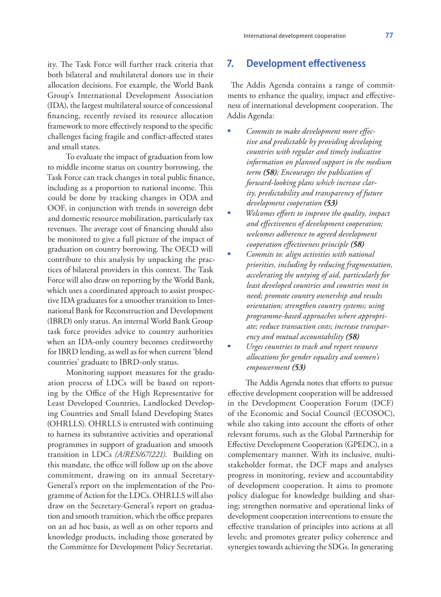ity. The Task Force will further track criteria that both bilateral and multilateral donors use in their allocation decisions. For example, the World Bank Group's International Development Association (IDA), the largest multilateral source of concessional financing, recently revised its resource allocation framework to more effectively respond to the specific challenges facing fragile and conflict-affected states and small states.

To evaluate the impact of graduation from low to middle income status on country borrowing, the Task Force can track changes in total public finance, including as a proportion to national income. This could be done by tracking changes in ODA and OOF, in conjunction with trends in sovereign debt and domestic resource mobilization, particularly tax revenues. The average cost of financing should also be monitored to give a full picture of the impact of graduation on country borrowing. The OECD will contribute to this analysis by unpacking the practices of bilateral providers in this context. The Task Force will also draw on reporting by the World Bank, which uses a coordinated approach to assist prospective IDA graduates for a smoother transition to International Bank for Reconstruction and Development (IBRD) only status. An internal World Bank Group task force provides advice to country authorities when an IDA-only country becomes creditworthy for IBRD lending, as well as for when current 'blend countries' graduate to IBRD-only status.

Monitoring support measures for the graduation process of LDCs will be based on reporting by the Office of the High Representative for Least Developed Countries, Landlocked Developing Countries and Small Island Developing States (OHRLLS). OHRLLS is entrusted with continuing to harness its substantive activities and operational programmes in support of graduation and smooth transition in LDCs *(A/RES/67/221)*. Building on this mandate, the office will follow up on the above commitment, drawing on its annual Secretary-General's report on the implementation of the Programme of Action for the LDCs. OHRLLS will also draw on the Secretary-General's report on graduation and smooth transition, which the office prepares on an ad hoc basis, as well as on other reports and knowledge products, including those generated by the Committee for Development Policy Secretariat.

### **7. Development effectiveness**

 The Addis Agenda contains a range of commitments to enhance the quality, impact and effectiveness of international development cooperation. The Addis Agenda:

- *Commits to make development more effective and predictable by providing developing countries with regular and timely indicative information on planned support in the medium term (58); Encourages the publication of forward-looking plans which increase clarity, predictability and transparency of future development cooperation (53)*
- *Welcomes efforts to improve the quality, impact and effectiveness of development cooperation; welcomes adherence to agreed development cooperation effectiveness principle (58)*
- *Commits to: align activities with national priorities, including by reducing fragmentation, accelerating the untying of aid, particularly for least developed countries and countries most in need; promote country ownership and results orientation; strengthen country systems; using programme-based approaches where appropriate; reduce transaction costs; increase transparency and mutual accountability (58)*
- *Urges countries to track and report resource allocations for gender equality and women's empowerment (53)*

The Addis Agenda notes that efforts to pursue effective development cooperation will be addressed in the Development Cooperation Forum (DCF) of the Economic and Social Council (ECOSOC), while also taking into account the efforts of other relevant forums, such as the Global Partnership for Effective Development Cooperation (GPEDC), in a complementary manner. With its inclusive, multistakeholder format, the DCF maps and analyses progress in monitoring, review and accountability of development cooperation. It aims to promote policy dialogue for knowledge building and sharing; strengthen normative and operational links of development cooperation interventions to ensure the effective translation of principles into actions at all levels; and promotes greater policy coherence and synergies towards achieving the SDGs. In generating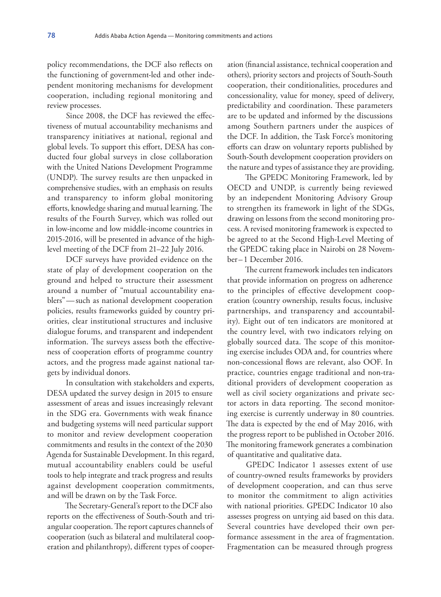policy recommendations, the DCF also reflects on the functioning of government-led and other independent monitoring mechanisms for development cooperation, including regional monitoring and review processes.

Since 2008, the DCF has reviewed the effectiveness of mutual accountability mechanisms and transparency initiatives at national, regional and global levels. To support this effort, DESA has conducted four global surveys in close collaboration with the United Nations Development Programme (UNDP). The survey results are then unpacked in comprehensive studies, with an emphasis on results and transparency to inform global monitoring efforts, knowledge sharing and mutual learning. The results of the Fourth Survey, which was rolled out in low-income and low middle-income countries in 2015-2016, will be presented in advance of the highlevel meeting of the DCF from 21–22 July 2016.

DCF surveys have provided evidence on the state of play of development cooperation on the ground and helped to structure their assessment around a number of "mutual accountability enablers"—such as national development cooperation policies, results frameworks guided by country priorities, clear institutional structures and inclusive dialogue forums, and transparent and independent information. The surveys assess both the effectiveness of cooperation efforts of programme country actors, and the progress made against national targets by individual donors.

In consultation with stakeholders and experts, DESA updated the survey design in 2015 to ensure assessment of areas and issues increasingly relevant in the SDG era. Governments with weak finance and budgeting systems will need particular support to monitor and review development cooperation commitments and results in the context of the 2030 Agenda for Sustainable Development. In this regard, mutual accountability enablers could be useful tools to help integrate and track progress and results against development cooperation commitments, and will be drawn on by the Task Force.

The Secretary-General's report to the DCF also reports on the effectiveness of South-South and triangular cooperation. The report captures channels of cooperation (such as bilateral and multilateral cooperation and philanthropy), different types of cooper-

ation (financial assistance, technical cooperation and others), priority sectors and projects of South-South cooperation, their conditionalities, procedures and concessionality, value for money, speed of delivery, predictability and coordination. These parameters are to be updated and informed by the discussions among Southern partners under the auspices of the DCF. In addition, the Task Force's monitoring efforts can draw on voluntary reports published by South-South development cooperation providers on the nature and types of assistance they are providing.

The GPEDC Monitoring Framework, led by OECD and UNDP, is currently being reviewed by an independent Monitoring Advisory Group to strengthen its framework in light of the SDGs, drawing on lessons from the second monitoring process. A revised monitoring framework is expected to be agreed to at the Second High-Level Meeting of the GPEDC taking place in Nairobi on 28 November–1 December 2016.

The current framework includes ten indicators that provide information on progress on adherence to the principles of effective development cooperation (country ownership, results focus, inclusive partnerships, and transparency and accountability). Eight out of ten indicators are monitored at the country level, with two indicators relying on globally sourced data. The scope of this monitoring exercise includes ODA and, for countries where non-concessional flows are relevant, also OOF. In practice, countries engage traditional and non-traditional providers of development cooperation as well as civil society organizations and private sector actors in data reporting. The second monitoring exercise is currently underway in 80 countries. The data is expected by the end of May 2016, with the progress report to be published in October 2016. The monitoring framework generates a combination of quantitative and qualitative data.

GPEDC Indicator 1 assesses extent of use of country-owned results frameworks by providers of development cooperation, and can thus serve to monitor the commitment to align activities with national priorities. GPEDC Indicator 10 also assesses progress on untying aid based on this data. Several countries have developed their own performance assessment in the area of fragmentation. Fragmentation can be measured through progress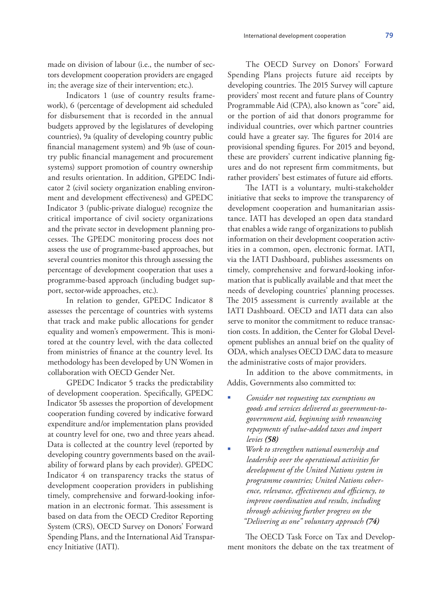made on division of labour (i.e., the number of sectors development cooperation providers are engaged in; the average size of their intervention; etc.).

Indicators 1 (use of country results framework), 6 (percentage of development aid scheduled for disbursement that is recorded in the annual budgets approved by the legislatures of developing countries), 9a (quality of developing country public financial management system) and 9b (use of country public financial management and procurement systems) support promotion of country ownership and results orientation. In addition, GPEDC Indicator 2 (civil society organization enabling environment and development effectiveness) and GPEDC Indicator 3 (public-private dialogue) recognize the critical importance of civil society organizations and the private sector in development planning processes. The GPEDC monitoring process does not assess the use of programme-based approaches, but several countries monitor this through assessing the percentage of development cooperation that uses a programme-based approach (including budget support, sector-wide approaches, etc.).

In relation to gender, GPEDC Indicator 8 assesses the percentage of countries with systems that track and make public allocations for gender equality and women's empowerment. This is monitored at the country level, with the data collected from ministries of finance at the country level. Its methodology has been developed by UN Women in collaboration with OECD Gender Net.

GPEDC Indicator 5 tracks the predictability of development cooperation. Specifically, GPEDC Indicator 5b assesses the proportion of development cooperation funding covered by indicative forward expenditure and/or implementation plans provided at country level for one, two and three years ahead. Data is collected at the country level (reported by developing country governments based on the availability of forward plans by each provider). GPEDC Indicator 4 on transparency tracks the status of development cooperation providers in publishing timely, comprehensive and forward-looking information in an electronic format. This assessment is based on data from the OECD Creditor Reporting System (CRS), OECD Survey on Donors' Forward Spending Plans, and the International Aid Transparency Initiative (IATI).

The OECD Survey on Donors' Forward Spending Plans projects future aid receipts by developing countries. The 2015 Survey will capture providers' most recent and future plans of Country Programmable Aid (CPA), also known as "core" aid, or the portion of aid that donors programme for individual countries, over which partner countries could have a greater say. The figures for 2014 are provisional spending figures. For 2015 and beyond, these are providers' current indicative planning figures and do not represent firm commitments, but rather providers' best estimates of future aid efforts.

The IATI is a voluntary, multi-stakeholder initiative that seeks to improve the transparency of development cooperation and humanitarian assistance. IATI has developed an open data standard that enables a wide range of organizations to publish information on their development cooperation activities in a common, open, electronic format. IATI, via the IATI Dashboard, publishes assessments on timely, comprehensive and forward-looking information that is publically available and that meet the needs of developing countries' planning processes. The 2015 assessment is currently available at the IATI Dashboard. OECD and IATI data can also serve to monitor the commitment to reduce transaction costs. In addition, the Center for Global Development publishes an annual brief on the quality of ODA, which analyses OECD DAC data to measure the administrative costs of major providers.

In addition to the above commitments, in Addis, Governments also committed to:

- *Consider not requesting tax exemptions on goods and services delivered as government-togovernment aid, beginning with renouncing repayments of value-added taxes and import levies (58)*
- *Work to strengthen national ownership and leadership over the operational activities for development of the United Nations system in programme countries; United Nations coherence, relevance, effectiveness and efficiency, to improve coordination and results, including through achieving further progress on the "Delivering as one" voluntary approach (74)*

The OECD Task Force on Tax and Development monitors the debate on the tax treatment of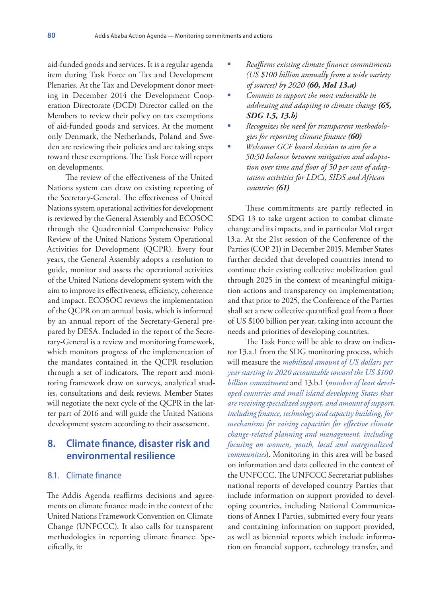aid-funded goods and services. It is a regular agenda item during Task Force on Tax and Development Plenaries. At the Tax and Development donor meeting in December 2014 the Development Cooperation Directorate (DCD) Director called on the Members to review their policy on tax exemptions of aid-funded goods and services. At the moment only Denmark, the Netherlands, Poland and Sweden are reviewing their policies and are taking steps toward these exemptions. The Task Force will report on developments.

The review of the effectiveness of the United Nations system can draw on existing reporting of the Secretary-General. The effectiveness of United Nations system operational activities for development is reviewed by the General Assembly and ECOSOC through the Quadrennial Comprehensive Policy Review of the United Nations System Operational Activities for Development (QCPR). Every four years, the General Assembly adopts a resolution to guide, monitor and assess the operational activities of the United Nations development system with the aim to improve its effectiveness, efficiency, coherence and impact. ECOSOC reviews the implementation of the QCPR on an annual basis, which is informed by an annual report of the Secretary-General prepared by DESA. Included in the report of the Secretary-General is a review and monitoring framework, which monitors progress of the implementation of the mandates contained in the QCPR resolution through a set of indicators. The report and monitoring framework draw on surveys, analytical studies, consultations and desk reviews. Member States will negotiate the next cycle of the QCPR in the latter part of 2016 and will guide the United Nations development system according to their assessment.

# **8. Climate finance, disaster risk and environmental resilience**

#### 8.1. Climate finance

The Addis Agenda reaffirms decisions and agreements on climate finance made in the context of the United Nations Framework Convention on Climate Change (UNFCCC). It also calls for transparent methodologies in reporting climate finance. Specifically, it:

- *Reaffirms existing climate finance commitments (US \$100 billion annually from a wide variety of sources) by 2020 (60, MoI 13.a)*
- *Commits to support the most vulnerable in addressing and adapting to climate change (65, SDG 1.5, 13.b)*
- *Recognizes the need for transparent methodologies for reporting climate finance (60)*
- *Welcomes GCF board decision to aim for a 50:50 balance between mitigation and adaptation over time and floor of 50 per cent of adaptation activities for LDCs, SIDS and African countries (61)*

These commitments are partly reflected in SDG 13 to take urgent action to combat climate change and its impacts, and in particular MoI target 13.a. At the 21st session of the Conference of the Parties (COP 21) in December 2015, Member States further decided that developed countries intend to continue their existing collective mobilization goal through 2025 in the context of meaningful mitigation actions and transparency on implementation; and that prior to 2025, the Conference of the Parties shall set a new collective quantified goal from a floor of US \$100 billion per year, taking into account the needs and priorities of developing countries.

The Task Force will be able to draw on indicator 13.a.1 from the SDG monitoring process, which will measure the *mobilized amount of US dollars per year starting in 2020 accountable toward the US \$100 billion commitment* and 13.b.1 (*number of least developed countries and small island developing States that are receiving specialized support, and amount of support, including finance, technology and capacity building, for mechanisms for raising capacities for effective climate change-related planning and management, including focusing on women, youth, local and marginalized communities*). Monitoring in this area will be based on information and data collected in the context of the UNFCCC. The UNFCCC Secretariat publishes national reports of developed country Parties that include information on support provided to developing countries, including National Communications of Annex I Parties, submitted every four years and containing information on support provided, as well as biennial reports which include information on financial support, technology transfer, and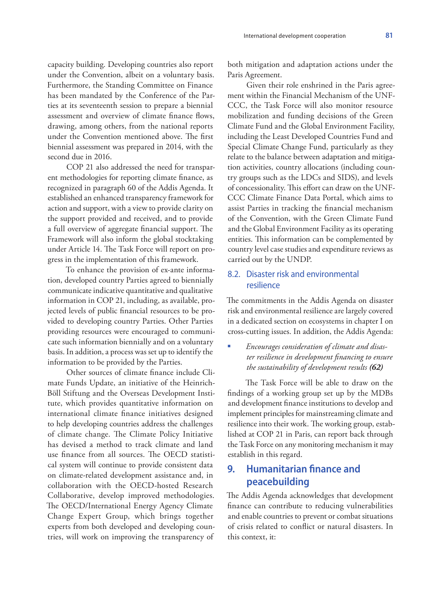capacity building. Developing countries also report under the Convention, albeit on a voluntary basis. Furthermore, the Standing Committee on Finance has been mandated by the Conference of the Parties at its seventeenth session to prepare a biennial assessment and overview of climate finance flows, drawing, among others, from the national reports under the Convention mentioned above. The first biennial assessment was prepared in 2014, with the second due in 2016.

COP 21 also addressed the need for transparent methodologies for reporting climate finance, as recognized in paragraph 60 of the Addis Agenda. It established an enhanced transparency framework for action and support, with a view to provide clarity on the support provided and received, and to provide a full overview of aggregate financial support. The Framework will also inform the global stocktaking under Article 14. The Task Force will report on progress in the implementation of this framework.

To enhance the provision of ex-ante information, developed country Parties agreed to biennially communicate indicative quantitative and qualitative information in COP 21, including, as available, projected levels of public financial resources to be provided to developing country Parties. Other Parties providing resources were encouraged to communicate such information biennially and on a voluntary basis. In addition, a process was set up to identify the information to be provided by the Parties.

Other sources of climate finance include Climate Funds Update, an initiative of the Heinrich-Böll Stiftung and the Overseas Development Institute, which provides quantitative information on international climate finance initiatives designed to help developing countries address the challenges of climate change. The Climate Policy Initiative has devised a method to track climate and land use finance from all sources. The OECD statistical system will continue to provide consistent data on climate-related development assistance and, in collaboration with the OECD-hosted Research Collaborative, develop improved methodologies. The OECD/International Energy Agency Climate Change Expert Group, which brings together experts from both developed and developing countries, will work on improving the transparency of

both mitigation and adaptation actions under the Paris Agreement.

Given their role enshrined in the Paris agreement within the Financial Mechanism of the UNF-CCC, the Task Force will also monitor resource mobilization and funding decisions of the Green Climate Fund and the Global Environment Facility, including the Least Developed Countries Fund and Special Climate Change Fund, particularly as they relate to the balance between adaptation and mitigation activities, country allocations (including country groups such as the LDCs and SIDS), and levels of concessionality. This effort can draw on the UNF-CCC Climate Finance Data Portal, which aims to assist Parties in tracking the financial mechanism of the Convention, with the Green Climate Fund and the Global Environment Facility as its operating entities. This information can be complemented by country level case studies and expenditure reviews as carried out by the UNDP.

### 8.2. Disaster risk and environmental resilience

The commitments in the Addis Agenda on disaster risk and environmental resilience are largely covered in a dedicated section on ecosystems in chapter I on cross-cutting issues. In addition, the Addis Agenda:

#### *Encourages consideration of climate and disaster resilience in development financing to ensure the sustainability of development results (62)*

The Task Force will be able to draw on the findings of a working group set up by the MDBs and development finance institutions to develop and implement principles for mainstreaming climate and resilience into their work. The working group, established at COP 21 in Paris, can report back through the Task Force on any monitoring mechanism it may establish in this regard.

# **9. Humanitarian finance and peacebuilding**

The Addis Agenda acknowledges that development finance can contribute to reducing vulnerabilities and enable countries to prevent or combat situations of crisis related to conflict or natural disasters. In this context, it: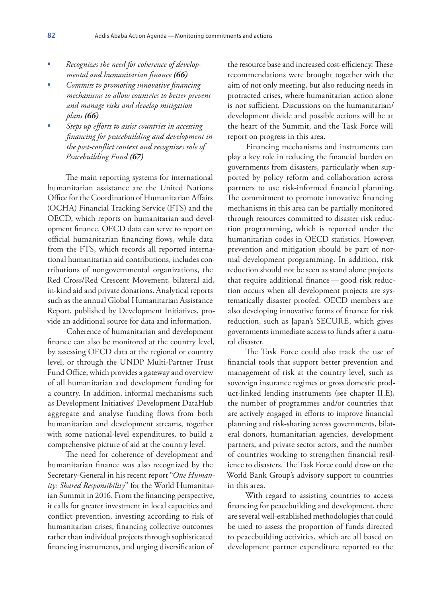- *Recognizes the need for coherence of developmental and humanitarian finance (66)*
- *Commits to promoting innovative financing mechanisms to allow countries to better prevent and manage risks and develop mitigation plans (66)*
- *Steps up efforts to assist countries in accessing financing for peacebuilding and development in the post-conflict context and recognizes role of Peacebuilding Fund (67)*

The main reporting systems for international humanitarian assistance are the United Nations Office for the Coordination of Humanitarian Affairs (OCHA) Financial Tracking Service (FTS) and the OECD, which reports on humanitarian and development finance. OECD data can serve to report on official humanitarian financing flows, while data from the FTS, which records all reported international humanitarian aid contributions, includes contributions of nongovernmental organizations, the Red Cross/Red Crescent Movement, bilateral aid, in-kind aid and private donations. Analytical reports such as the annual Global Humanitarian Assistance Report, published by Development Initiatives, provide an additional source for data and information.

Coherence of humanitarian and development finance can also be monitored at the country level, by assessing OECD data at the regional or country level, or through the UNDP Multi-Partner Trust Fund Office, which provides a gateway and overview of all humanitarian and development funding for a country. In addition, informal mechanisms such as Development Initiatives' Development DataHub aggregate and analyse funding flows from both humanitarian and development streams, together with some national-level expenditures, to build a comprehensive picture of aid at the country level.

The need for coherence of development and humanitarian finance was also recognized by the Secretary-General in his recent report "*One Humanity: Shared Responsibility*" for the World Humanitarian Summit in 2016. From the financing perspective, it calls for greater investment in local capacities and conflict prevention, investing according to risk of humanitarian crises, financing collective outcomes rather than individual projects through sophisticated financing instruments, and urging diversification of

the resource base and increased cost-efficiency. These recommendations were brought together with the aim of not only meeting, but also reducing needs in protracted crises, where humanitarian action alone is not sufficient. Discussions on the humanitarian/ development divide and possible actions will be at the heart of the Summit, and the Task Force will report on progress in this area.

Financing mechanisms and instruments can play a key role in reducing the financial burden on governments from disasters, particularly when supported by policy reform and collaboration across partners to use risk-informed financial planning. The commitment to promote innovative financing mechanisms in this area can be partially monitored through resources committed to disaster risk reduction programming, which is reported under the humanitarian codes in OECD statistics. However, prevention and mitigation should be part of normal development programming. In addition, risk reduction should not be seen as stand alone projects that require additional finance—good risk reduction occurs when all development projects are systematically disaster proofed. OECD members are also developing innovative forms of finance for risk reduction, such as Japan's SECURE, which gives governments immediate access to funds after a natural disaster.

The Task Force could also track the use of financial tools that support better prevention and management of risk at the country level, such as sovereign insurance regimes or gross domestic product-linked lending instruments (see chapter II.E), the number of programmes and/or countries that are actively engaged in efforts to improve financial planning and risk-sharing across governments, bilateral donors, humanitarian agencies, development partners, and private sector actors, and the number of countries working to strengthen financial resilience to disasters. The Task Force could draw on the World Bank Group's advisory support to countries in this area.

With regard to assisting countries to access financing for peacebuilding and development, there are several well-established methodologies that could be used to assess the proportion of funds directed to peacebuilding activities, which are all based on development partner expenditure reported to the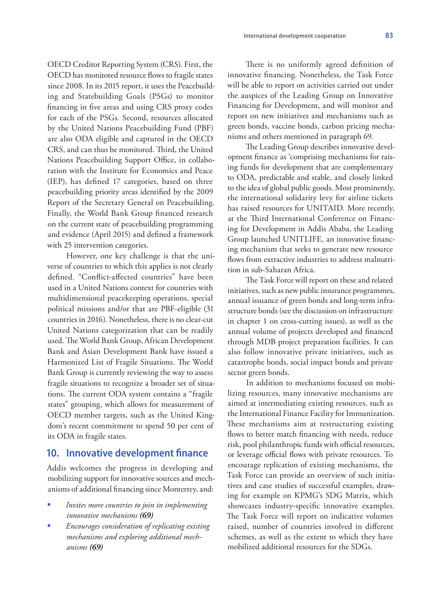OECD Creditor Reporting System (CRS). First, the OECD has monitored resource flows to fragile states since 2008. In its 2015 report, it uses the Peacebuilding and Statebuilding Goals (PSGs) to monitor financing in five areas and using CRS proxy codes for each of the PSGs. Second, resources allocated by the United Nations Peacebuilding Fund (PBF) are also ODA eligible and captured in the OECD CRS, and can thus be monitored. Third, the United Nations Peacebuilding Support Office, in collaboration with the Institute for Economics and Peace (IEP), has defined 17 categories, based on three peacebuilding priority areas identified by the 2009 Report of the Secretary General on Peacebuilding. Finally, the World Bank Group financed research on the current state of peacebuilding programming and evidence (April 2015) and defined a framework with 25 intervention categories.

However, one key challenge is that the universe of countries to which this applies is not clearly defined. "Conflict-affected countries" have been used in a United Nations context for countries with multidimensional peacekeeping operations, special political missions and/or that are PBF-eligible (31 countries in 2016). Nonetheless, there is no clear-cut United Nations categorization that can be readily used. The World Bank Group, African Development Bank and Asian Development Bank have issued a Harmonized List of Fragile Situations. The World Bank Group is currently reviewing the way to assess fragile situations to recognize a broader set of situations. The current ODA system contains a "fragile states" grouping, which allows for measurement of OECD member targets, such as the United Kingdom's recent commitment to spend 50 per cent of its ODA in fragile states.

# **10. Innovative development finance**

Addis welcomes the progress in developing and mobilizing support for innovative sources and mechanisms of additional financing since Monterrey, and:

- *Invites more countries to join in implementing innovative mechanisms (69)*
- *Encourages consideration of replicating existing mechanisms and exploring additional mechanisms (69)*

There is no uniformly agreed definition of innovative financing. Nonetheless, the Task Force will be able to report on activities carried out under the auspices of the Leading Group on Innovative Financing for Development, and will monitor and report on new initiatives and mechanisms such as green bonds, vaccine bonds, carbon pricing mechanisms and others mentioned in paragraph 69.

The Leading Group describes innovative development finance as 'comprising mechanisms for raising funds for development that are complementary to ODA, predictable and stable, and closely linked to the idea of global public goods. Most prominently, the international solidarity levy for airline tickets has raised resources for UNITAID. More recently, at the Third International Conference on Financing for Development in Addis Ababa, the Leading Group launched UNITLIFE, an innovative financing mechanism that seeks to generate new resource flows from extractive industries to address malnutrition in sub-Saharan Africa.

The Task Force will report on these and related initiatives, such as new public insurance programmes, annual issuance of green bonds and long-term infrastructure bonds (see the discussion on infrastructure in chapter 1 on cross-cutting issues), as well as the annual volume of projects developed and financed through MDB project preparation facilities. It can also follow innovative private initiatives, such as catastrophe bonds, social impact bonds and private sector green bonds.

In addition to mechanisms focused on mobilizing resources, many innovative mechanisms are aimed at intermediating existing resources, such as the International Finance Facility for Immunization. These mechanisms aim at restructuring existing flows to better match financing with needs, reduce risk, pool philanthropic funds with official resources, or leverage official flows with private resources. To encourage replication of existing mechanisms, the Task Force can provide an overview of such initiatives and case studies of successful examples, drawing for example on KPMG's SDG Matrix, which showcases industry-specific innovative examples. The Task Force will report on indicative volumes raised, number of countries involved in different schemes, as well as the extent to which they have mobilized additional resources for the SDGs.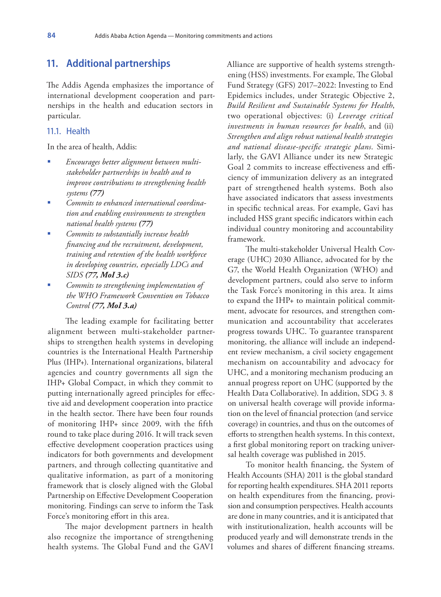### **11. Additional partnerships**

The Addis Agenda emphasizes the importance of international development cooperation and partnerships in the health and education sectors in particular.

#### 11.1. Health

In the area of health, Addis:

- *Encourages better alignment between multistakeholder partnerships in health and to improve contributions to strengthening health systems (77)*
- *Commits to enhanced international coordination and enabling environments to strengthen national health systems (77)*
- *Commits to substantially increase health financing and the recruitment, development, training and retention of the health workforce in developing countries, especially LDCs and SIDS (77, MoI 3.c)*
- *Commits to strengthening implementation of the WHO Framework Convention on Tobacco Control (77, MoI 3.a)*

The leading example for facilitating better alignment between multi-stakeholder partnerships to strengthen health systems in developing countries is the International Health Partnership Plus (IHP+). International organizations, bilateral agencies and country governments all sign the IHP+ Global Compact, in which they commit to putting internationally agreed principles for effective aid and development cooperation into practice in the health sector. There have been four rounds of monitoring IHP+ since 2009, with the fifth round to take place during 2016. It will track seven effective development cooperation practices using indicators for both governments and development partners, and through collecting quantitative and qualitative information, as part of a monitoring framework that is closely aligned with the Global Partnership on Effective Development Cooperation monitoring. Findings can serve to inform the Task Force's monitoring effort in this area.

The major development partners in health also recognize the importance of strengthening health systems. The Global Fund and the GAVI

Alliance are supportive of health systems strengthening (HSS) investments. For example, The Global Fund Strategy (GFS) 2017–2022: Investing to End Epidemics includes, under Strategic Objective 2, *Build Resilient and Sustainable Systems for Health*, two operational objectives: (i) *Leverage critical investments in human resources for health*, and (ii) *Strengthen and align robust national health strategies and national disease-specific strategic plans*. Similarly, the GAVI Alliance under its new Strategic Goal 2 commits to increase effectiveness and efficiency of immunization delivery as an integrated part of strengthened health systems. Both also have associated indicators that assess investments in specific technical areas. For example, Gavi has included HSS grant specific indicators within each individual country monitoring and accountability framework.

The multi-stakeholder Universal Health Coverage (UHC) 2030 Alliance, advocated for by the G7, the World Health Organization (WHO) and development partners, could also serve to inform the Task Force's monitoring in this area. It aims to expand the IHP+ to maintain political commitment, advocate for resources, and strengthen communication and accountability that accelerates progress towards UHC. To guarantee transparent monitoring, the alliance will include an independent review mechanism, a civil society engagement mechanism on accountability and advocacy for UHC, and a monitoring mechanism producing an annual progress report on UHC (supported by the Health Data Collaborative). In addition, SDG 3. 8 on universal health coverage will provide information on the level of financial protection (and service coverage) in countries, and thus on the outcomes of efforts to strengthen health systems. In this context, a first global monitoring report on tracking universal health coverage was published in 2015.

To monitor health financing, the System of Health Accounts (SHA) 2011 is the global standard for reporting health expenditures. SHA 2011 reports on health expenditures from the financing, provision and consumption perspectives. Health accounts are done in many countries, and it is anticipated that with institutionalization, health accounts will be produced yearly and will demonstrate trends in the volumes and shares of different financing streams.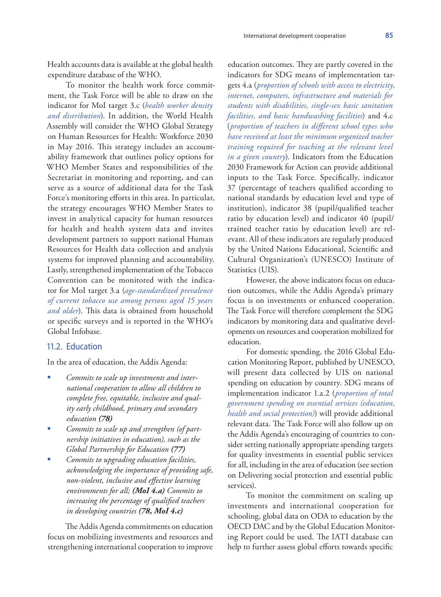Health accounts data is available at the global health expenditure database of the WHO.

To monitor the health work force commitment, the Task Force will be able to draw on the indicator for MoI target 3.c (*health worker density and distribution*). In addition, the World Health Assembly will consider the WHO Global Strategy on Human Resources for Health: Workforce 2030 in May 2016. This strategy includes an accountability framework that outlines policy options for WHO Member States and responsibilities of the Secretariat in monitoring and reporting, and can serve as a source of additional data for the Task Force's monitoring efforts in this area. In particular, the strategy encourages WHO Member States to invest in analytical capacity for human resources for health and health system data and invites development partners to support national Human Resources for Health data collection and analysis systems for improved planning and accountability. Lastly, strengthened implementation of the Tobacco Convention can be monitored with the indicator for MoI target 3.a (*age-standardized prevalence of current tobacco use among persons aged 15 years and older*). This data is obtained from household or specific surveys and is reported in the WHO's Global Infobase.

### 11.2. Education

In the area of education, the Addis Agenda:

- *Commits to scale up investments and international cooperation to allow all children to complete free, equitable, inclusive and quality early childhood, primary and secondary education (78)*
- *Commits to scale up and strengthen (of partnership initiatives in education), such as the Global Partnership for Education (77)*
- *Commits to upgrading education facilities, acknowledging the importance of providing safe, non-violent, inclusive and effective learning environments for all; (MoI 4.a) Commits to increasing the percentage of qualified teachers in developing countries (78, MoI 4.c)*

The Addis Agenda commitments on education focus on mobilizing investments and resources and strengthening international cooperation to improve

education outcomes. They are partly covered in the indicators for SDG means of implementation targets 4.a (*proportion of schools with access to electricity, internet, computers, infrastructure and materials for students with disabilities, single-sex basic sanitation facilities, and basic handwashing facilities*) and 4.c (*proportion of teachers in different school types who have received at least the minimum organized teacher training required for teaching at the relevant level in a given country*). Indicators from the Education 2030 Framework for Action can provide additional inputs to the Task Force. Specifically, indicator 37 (percentage of teachers qualified according to national standards by education level and type of institution), indicator 38 (pupil/qualified teacher ratio by education level) and indicator 40 (pupil/ trained teacher ratio by education level) are relevant. All of these indicators are regularly produced by the United Nations Educational, Scientific and Cultural Organization's (UNESCO) Institute of Statistics (UIS).

However, the above indicators focus on education outcomes, while the Addis Agenda's primary focus is on investments or enhanced cooperation. The Task Force will therefore complement the SDG indicators by monitoring data and qualitative developments on resources and cooperation mobilized for education.

For domestic spending, the 2016 Global Education Monitoring Report, published by UNESCO, will present data collected by UIS on national spending on education by country. SDG means of implementation indicator 1.a.2 (*proportion of total government spending on essential services (education, health and social protection)*) will provide additional relevant data. The Task Force will also follow up on the Addis Agenda's encouraging of countries to consider setting nationally appropriate spending targets for quality investments in essential public services for all, including in the area of education (see section on Delivering social protection and essential public services).

To monitor the commitment on scaling up investments and international cooperation for schooling, global data on ODA to education by the OECD DAC and by the Global Education Monitoring Report could be used. The IATI database can help to further assess global efforts towards specific